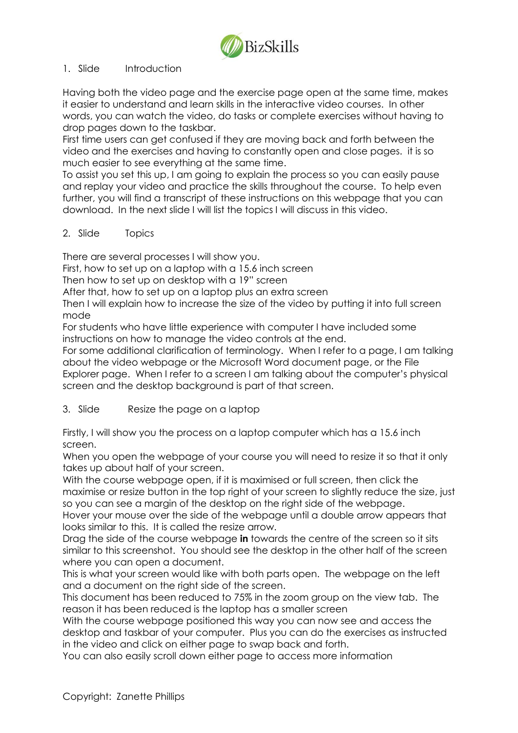

#### 1. Slide Introduction

Having both the video page and the exercise page open at the same time, makes it easier to understand and learn skills in the interactive video courses. In other words, you can watch the video, do tasks or complete exercises without having to drop pages down to the taskbar.

First time users can get confused if they are moving back and forth between the video and the exercises and having to constantly open and close pages. it is so much easier to see everything at the same time.

To assist you set this up, I am going to explain the process so you can easily pause and replay your video and practice the skills throughout the course. To help even further, you will find a transcript of these instructions on this webpage that you can download. In the next slide I will list the topics I will discuss in this video.

#### 2. Slide Topics

There are several processes I will show you.

First, how to set up on a laptop with a 15.6 inch screen

Then how to set up on desktop with a 19" screen

After that, how to set up on a laptop plus an extra screen

Then I will explain how to increase the size of the video by putting it into full screen mode

For students who have little experience with computer I have included some instructions on how to manage the video controls at the end.

For some additional clarification of terminology. When I refer to a page, I am talking about the video webpage or the Microsoft Word document page, or the File Explorer page. When I refer to a screen I am talking about the computer's physical screen and the desktop background is part of that screen.

# 3. Slide Resize the page on a laptop

Firstly, I will show you the process on a laptop computer which has a 15.6 inch screen.

When you open the webpage of your course you will need to resize it so that it only takes up about half of your screen.

With the course webpage open, if it is maximised or full screen, then click the maximise or resize button in the top right of your screen to slightly reduce the size, just so you can see a margin of the desktop on the right side of the webpage.

Hover your mouse over the side of the webpage until a double arrow appears that looks similar to this. It is called the resize arrow.

Drag the side of the course webpage **in** towards the centre of the screen so it sits similar to this screenshot. You should see the desktop in the other half of the screen where you can open a document.

This is what your screen would like with both parts open. The webpage on the left and a document on the right side of the screen.

This document has been reduced to 75% in the zoom group on the view tab. The reason it has been reduced is the laptop has a smaller screen

With the course webpage positioned this way you can now see and access the desktop and taskbar of your computer. Plus you can do the exercises as instructed in the video and click on either page to swap back and forth.

You can also easily scroll down either page to access more information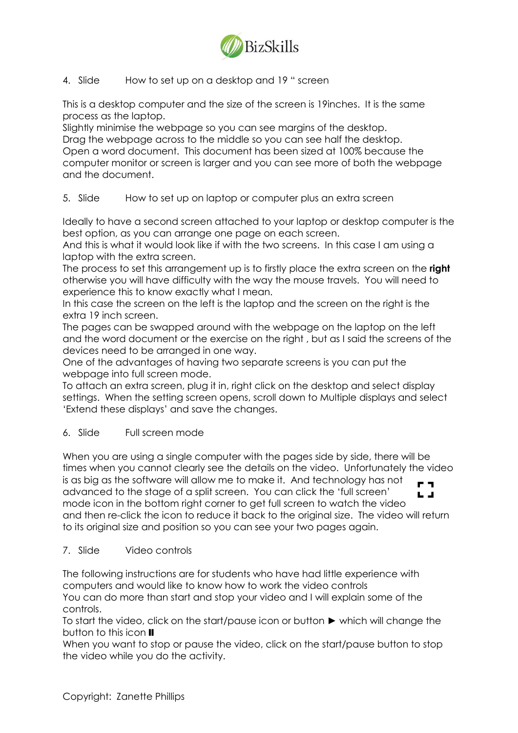

# 4. Slide How to set up on a desktop and 19 " screen

This is a desktop computer and the size of the screen is 19inches. It is the same process as the laptop.

Slightly minimise the webpage so you can see margins of the desktop. Drag the webpage across to the middle so you can see half the desktop. Open a word document. This document has been sized at 100% because the computer monitor or screen is larger and you can see more of both the webpage and the document.

# 5. Slide How to set up on laptop or computer plus an extra screen

Ideally to have a second screen attached to your laptop or desktop computer is the best option, as you can arrange one page on each screen.

And this is what it would look like if with the two screens. In this case I am using a laptop with the extra screen.

The process to set this arrangement up is to firstly place the extra screen on the **right** otherwise you will have difficulty with the way the mouse travels. You will need to experience this to know exactly what I mean.

In this case the screen on the left is the laptop and the screen on the right is the extra 19 inch screen.

The pages can be swapped around with the webpage on the laptop on the left and the word document or the exercise on the right , but as I said the screens of the devices need to be arranged in one way.

One of the advantages of having two separate screens is you can put the webpage into full screen mode.

To attach an extra screen, plug it in, right click on the desktop and select display settings. When the setting screen opens, scroll down to Multiple displays and select 'Extend these displays' and save the changes.

# 6. Slide Full screen mode

When you are using a single computer with the pages side by side, there will be times when you cannot clearly see the details on the video. Unfortunately the video is as big as the software will allow me to make it. And technology has not r a advanced to the stage of a split screen. You can click the 'full screen'  $\mathbf{L}$  at mode icon in the bottom right corner to get full screen to watch the video and then re-click the icon to reduce it back to the original size. The video will return to its original size and position so you can see your two pages again.

#### 7. Slide Video controls

The following instructions are for students who have had little experience with computers and would like to know how to work the video controls

You can do more than start and stop your video and I will explain some of the controls.

To start the video, click on the start/pause icon or button ► which will change the button to this icon  $\mathbf I$ 

When you want to stop or pause the video, click on the start/pause button to stop the video while you do the activity.